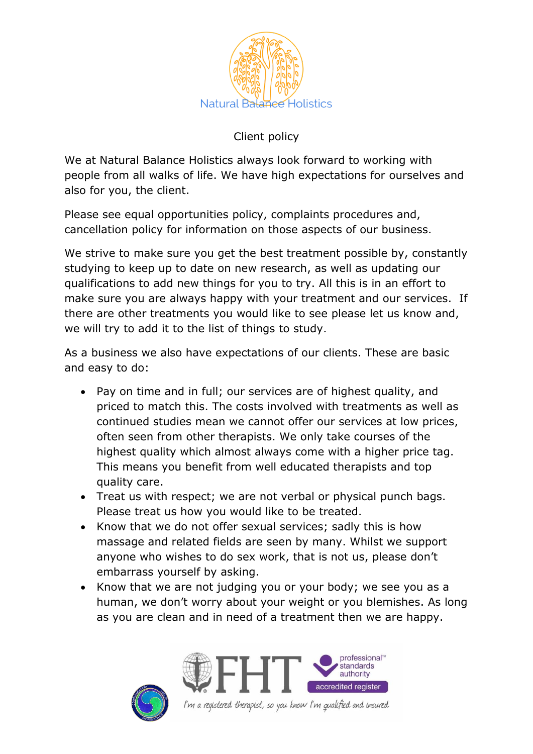

## Client policy

We at Natural Balance Holistics always look forward to working with people from all walks of life. We have high expectations for ourselves and also for you, the client.

Please see equal opportunities policy, complaints procedures and, cancellation policy for information on those aspects of our business.

We strive to make sure you get the best treatment possible by, constantly studying to keep up to date on new research, as well as updating our qualifications to add new things for you to try. All this is in an effort to make sure you are always happy with your treatment and our services. If there are other treatments you would like to see please let us know and, we will try to add it to the list of things to study.

As a business we also have expectations of our clients. These are basic and easy to do:

- Pay on time and in full; our services are of highest quality, and priced to match this. The costs involved with treatments as well as continued studies mean we cannot offer our services at low prices, often seen from other therapists. We only take courses of the highest quality which almost always come with a higher price tag. This means you benefit from well educated therapists and top quality care.
- Treat us with respect; we are not verbal or physical punch bags. Please treat us how you would like to be treated.
- Know that we do not offer sexual services; sadly this is how massage and related fields are seen by many. Whilst we support anyone who wishes to do sex work, that is not us, please don't embarrass yourself by asking.
- Know that we are not judging you or your body; we see you as a human, we don't worry about your weight or you blemishes. As long as you are clean and in need of a treatment then we are happy.





I'm a registered therapist, so you know I'm qualified and insured